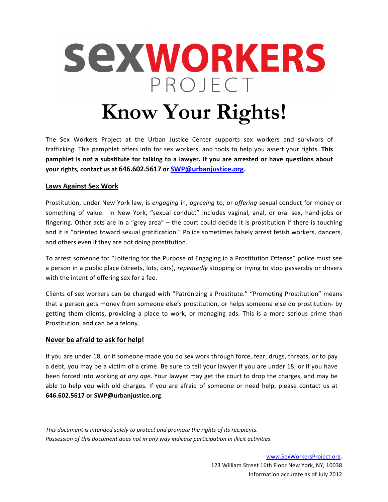# SeXWORKERS PROJECT **Know Your Rights!**

The Sex Workers Project at the Urban Justice Center supports sex workers and survivors of trafficking. This pamphlet offers info for sex workers, and tools to help you assert your rights. This **pamphlet** is not a substitute for talking to a lawyer. If you are arrested or have questions about **your rights, contact us at 646.602.5617 or SWP@urbanjustice.org.** 

## **Laws Against Sex Work**

Prostitution, under New York law, is *engaging* in, *agreeing* to, or *offering* sexual conduct for money or something of value. In New York, "sexual conduct" includes vaginal, anal, or oral sex, hand-jobs or fingering. Other acts are in a "grey area" – the court could decide it is prostitution if there is touching and it is "oriented toward sexual gratification." Police sometimes falsely arrest fetish workers, dancers, and others even if they are not doing prostitution.

To arrest someone for "Loitering for the Purpose of Engaging in a Prostitution Offense" police must see a person in a public place (streets, lots, cars), *repeatedly* stopping or trying to stop passersby or drivers with the intent of offering sex for a fee.

Clients of sex workers can be charged with "Patronizing a Prostitute." "Promoting Prostitution" means that a person gets money from someone else's prostitution, or helps someone else do prostitution- by getting them clients, providing a place to work, or managing ads. This is a more serious crime than Prostitution, and can be a felony.

#### **Never be afraid to ask for help!**

If you are under 18, or if someone made you do sex work through force, fear, drugs, threats, or to pay a debt, you may be a victim of a crime. Be sure to tell your lawyer if you are under 18, or if you have been forced into working at any age. Your lawyer may get the court to drop the charges, and may be able to help you with old charges. If you are afraid of someone or need help, please contact us at **646.602.5617 or SWP@urbanjustice.org**.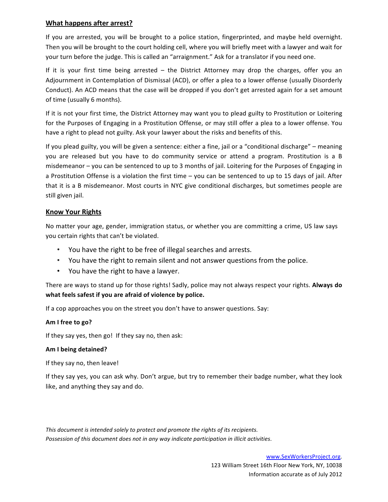# **What happens after arrest?**

If you are arrested, you will be brought to a police station, fingerprinted, and maybe held overnight. Then you will be brought to the court holding cell, where you will briefly meet with a lawyer and wait for your turn before the judge. This is called an "arraignment." Ask for a translator if you need one.

If it is your first time being arrested  $-$  the District Attorney may drop the charges, offer you an Adjournment in Contemplation of Dismissal (ACD), or offer a plea to a lower offense (usually Disorderly Conduct). An ACD means that the case will be dropped if you don't get arrested again for a set amount of time (usually 6 months).

If it is not your first time, the District Attorney may want you to plead guilty to Prostitution or Loitering for the Purposes of Engaging in a Prostitution Offense, or may still offer a plea to a lower offense. You have a right to plead not guilty. Ask your lawyer about the risks and benefits of this.

If you plead guilty, you will be given a sentence: either a fine, jail or a "conditional discharge" – meaning you are released but you have to do community service or attend a program. Prostitution is a B misdemeanor – you can be sentenced to up to 3 months of jail. Loitering for the Purposes of Engaging in a Prostitution Offense is a violation the first time – you can be sentenced to up to 15 days of jail. After that it is a B misdemeanor. Most courts in NYC give conditional discharges, but sometimes people are still given jail.

# **Know Your Rights**

No matter your age, gender, immigration status, or whether you are committing a crime, US law says you certain rights that can't be violated.

- You have the right to be free of illegal searches and arrests.
- You have the right to remain silent and not answer questions from the police.
- You have the right to have a lawyer.

There are ways to stand up for those rights! Sadly, police may not always respect your rights. Always do what feels safest if you are afraid of violence by police.

If a cop approaches you on the street you don't have to answer questions. Say:

## Am I free to go?

If they say yes, then go! If they say no, then ask:

#### **Am I being detained?**

If they say no, then leave!

If they say yes, you can ask why. Don't argue, but try to remember their badge number, what they look like, and anything they say and do.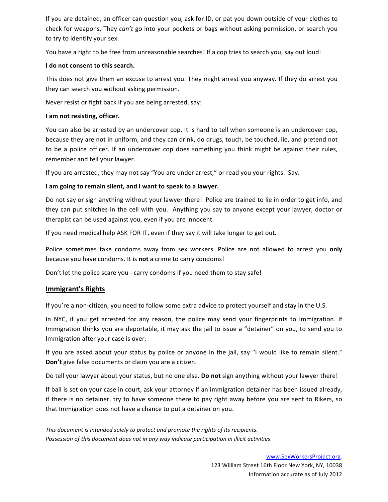If you are detained, an officer can question you, ask for ID, or pat you down outside of your clothes to check for weapons. They *can't* go into your pockets or bags without asking permission, or search you to try to identify your sex.

You have a right to be free from unreasonable searches! If a cop tries to search you, say out loud:

#### **I** do not consent to this search.

This does not give them an excuse to arrest you. They might arrest you anyway. If they do arrest you they can search you without asking permission.

Never resist or fight back if you are being arrested, say:

#### **I** am not resisting, officer.

You can also be arrested by an undercover cop. It is hard to tell when someone is an undercover cop, because they are not in uniform, and they can drink, do drugs, touch, be touched, lie, and pretend not to be a police officer. If an undercover cop does something you think might be against their rules, remember and tell your lawyer.

If you are arrested, they may not say "You are under arrest," or read you your rights. Say:

## **I** am going to remain silent, and I want to speak to a lawyer.

Do not say or sign anything without your lawyer there! Police are trained to lie in order to get info, and they can put snitches in the cell with you. Anything you say to anyone except your lawyer, doctor or therapist can be used against you, even if you are innocent.

If you need medical help ASK FOR IT, even if they say it will take longer to get out.

Police sometimes take condoms away from sex workers. Police are not allowed to arrest you only because you have condoms. It is **not** a crime to carry condoms!

Don't let the police scare you - carry condoms if you need them to stay safe!

## **Immigrant's Rights**

If you're a non-citizen, you need to follow some extra advice to protect yourself and stay in the U.S.

In NYC, if you get arrested for any reason, the police may send your fingerprints to Immigration. If Immigration thinks you are deportable, it may ask the jail to issue a "detainer" on you, to send you to Immigration after your case is over.

If you are asked about your status by police or anyone in the jail, say "I would like to remain silent." **Don't** give false documents or claim you are a citizen.

Do tell your lawyer about your status, but no one else. Do not sign anything without your lawyer there!

If bail is set on your case in court, ask your attorney if an immigration detainer has been issued already, if there is no detainer, try to have someone there to pay right away before you are sent to Rikers, so that Immigration does not have a chance to put a detainer on you.